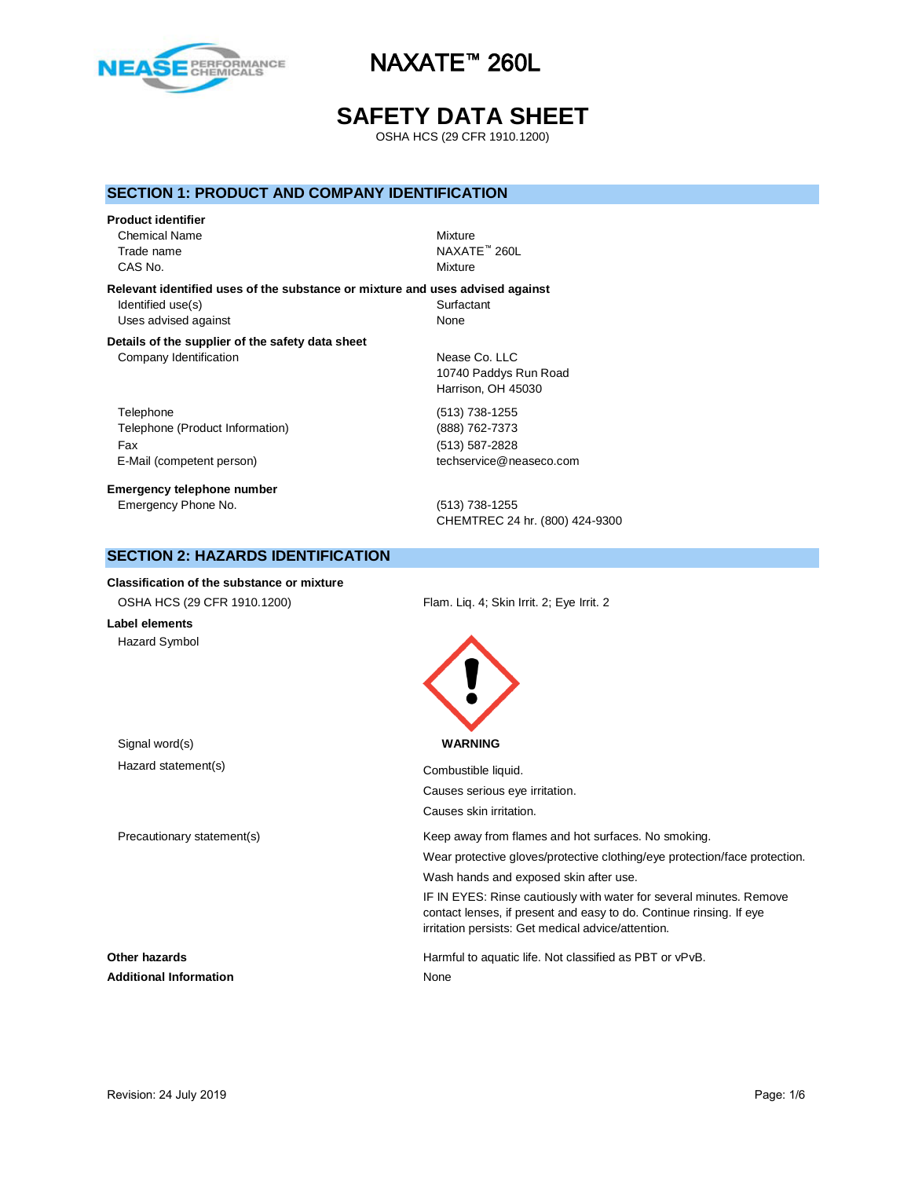

# **SAFETY DATA SHEET**

OSHA HCS (29 CFR 1910.1200)

## **SECTION 1: PRODUCT AND COMPANY IDENTIFICATION**

#### **Product identifier**

Chemical Name Mixture CAS No. **Mixture** 

Trade name NAXATE™ 260L

**Relevant identified uses of the substance or mixture and uses advised against** Identified use(s) Surfactant Uses advised against None

#### **Details of the supplier of the safety data sheet** Company Identification Nease Co. LLC

Telephone (513) 738-1255 Telephone (Product Information) (888) 762-7373 Fax (513) 587-2828 E-Mail (competent person) example the techservice@neaseco.com

**Emergency telephone number** Emergency Phone No. (513) 738-1255

10740 Paddys Run Road Harrison, OH 45030

CHEMTREC 24 hr. (800) 424-9300

## **SECTION 2: HAZARDS IDENTIFICATION**

**Classification of the substance or mixture** OSHA HCS (29 CFR 1910.1200) Flam. Liq. 4; Skin Irrit. 2; Eye Irrit. 2 **Label elements** Hazard Symbol Signal word(s) **WARNING** Hazard statement(s) example a combustible liquid. Causes serious eye irritation. Causes skin irritation. Precautionary statement(s) The Keep away from flames and hot surfaces. No smoking. Wear protective gloves/protective clothing/eye protection/face protection. Wash hands and exposed skin after use. IF IN EYES: Rinse cautiously with water for several minutes. Remove contact lenses, if present and easy to do. Continue rinsing. If eye irritation persists: Get medical advice/attention. **Other hazards Harmful to aquatic life. Not classified as PBT or vPvB.** Additional Information **None** None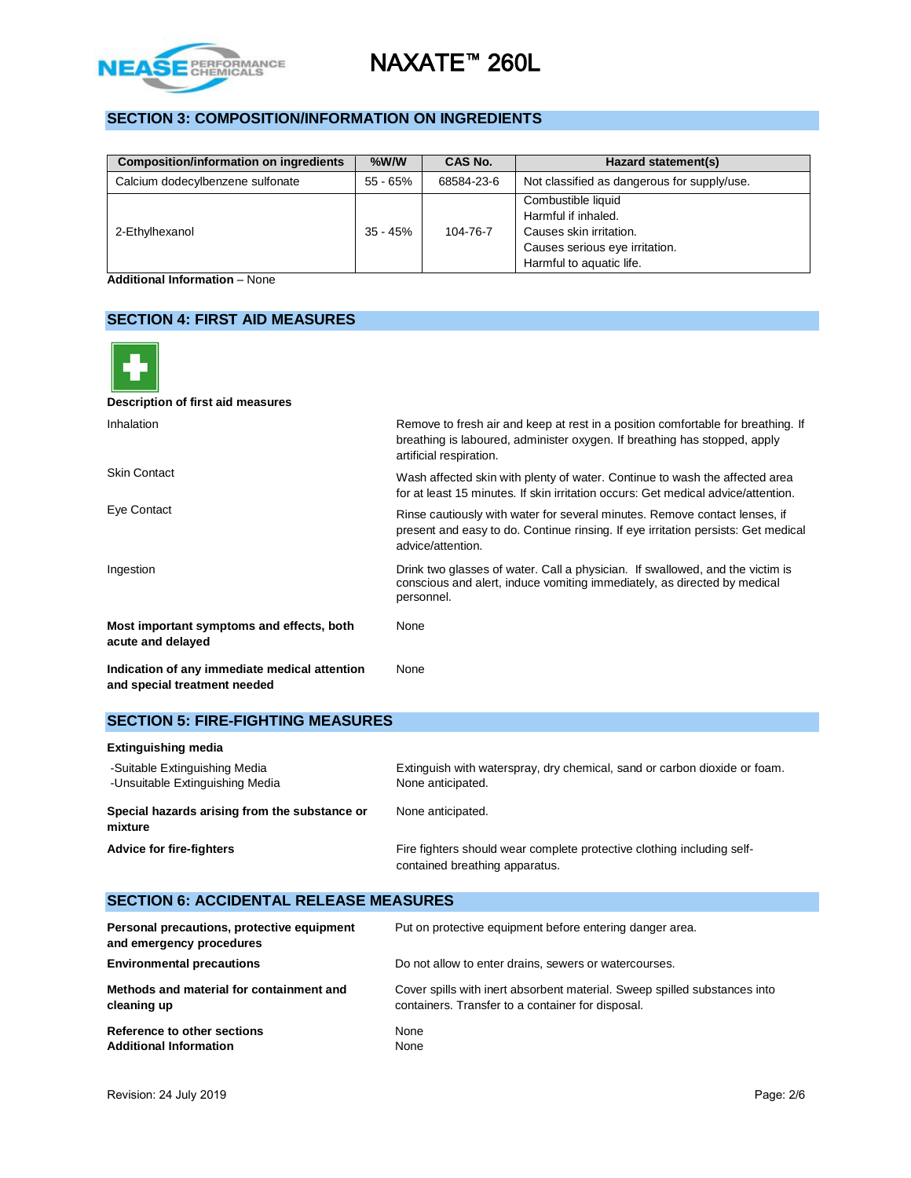

# **SECTION 3: COMPOSITION/INFORMATION ON INGREDIENTS**

| <b>Composition/information on ingredients</b> | $%$ W/W    | CAS No.    | Hazard statement(s)                                                                                                                |
|-----------------------------------------------|------------|------------|------------------------------------------------------------------------------------------------------------------------------------|
| Calcium dodecylbenzene sulfonate              | 55 - 65%   | 68584-23-6 | Not classified as dangerous for supply/use.                                                                                        |
| 2-Ethylhexanol                                | $35 - 45%$ | 104-76-7   | Combustible liquid<br>Harmful if inhaled.<br>Causes skin irritation.<br>Causes serious eye irritation.<br>Harmful to aquatic life. |

**Additional Information** – None

## **SECTION 4: FIRST AID MEASURES**

| Description of first aid measures                                             |                                                                                                                                                                                          |
|-------------------------------------------------------------------------------|------------------------------------------------------------------------------------------------------------------------------------------------------------------------------------------|
| Inhalation                                                                    | Remove to fresh air and keep at rest in a position comfortable for breathing. If<br>breathing is laboured, administer oxygen. If breathing has stopped, apply<br>artificial respiration. |
| <b>Skin Contact</b>                                                           | Wash affected skin with plenty of water. Continue to wash the affected area<br>for at least 15 minutes. If skin irritation occurs: Get medical advice/attention.                         |
| Eye Contact                                                                   | Rinse cautiously with water for several minutes. Remove contact lenses, if<br>present and easy to do. Continue rinsing. If eye irritation persists: Get medical<br>advice/attention.     |
| Ingestion                                                                     | Drink two glasses of water. Call a physician. If swallowed, and the victim is<br>conscious and alert, induce vomiting immediately, as directed by medical<br>personnel.                  |
| Most important symptoms and effects, both<br>acute and delayed                | None                                                                                                                                                                                     |
| Indication of any immediate medical attention<br>and special treatment needed | None                                                                                                                                                                                     |

# **SECTION 5: FIRE-FIGHTING MEASURES**

| <b>Extinguishing media</b>                                       |                                                                                                          |
|------------------------------------------------------------------|----------------------------------------------------------------------------------------------------------|
| -Suitable Extinguishing Media<br>-Unsuitable Extinguishing Media | Extinguish with waterspray, dry chemical, sand or carbon dioxide or foam.<br>None anticipated.           |
| Special hazards arising from the substance or<br>mixture         | None anticipated.                                                                                        |
| <b>Advice for fire-fighters</b>                                  | Fire fighters should wear complete protective clothing including self-<br>contained breathing apparatus. |

#### **SECTION 6: ACCIDENTAL RELEASE MEASURES Personal precautions, protective equipment and emergency procedures** Put on protective equipment before entering danger area. **Environmental precautions Do not allow to enter drains, sewers or watercourses. Methods and material for containment and cleaning up** Cover spills with inert absorbent material. Sweep spilled substances into containers. Transfer to a container for disposal. **Reference to other sections None** Additional Information **None**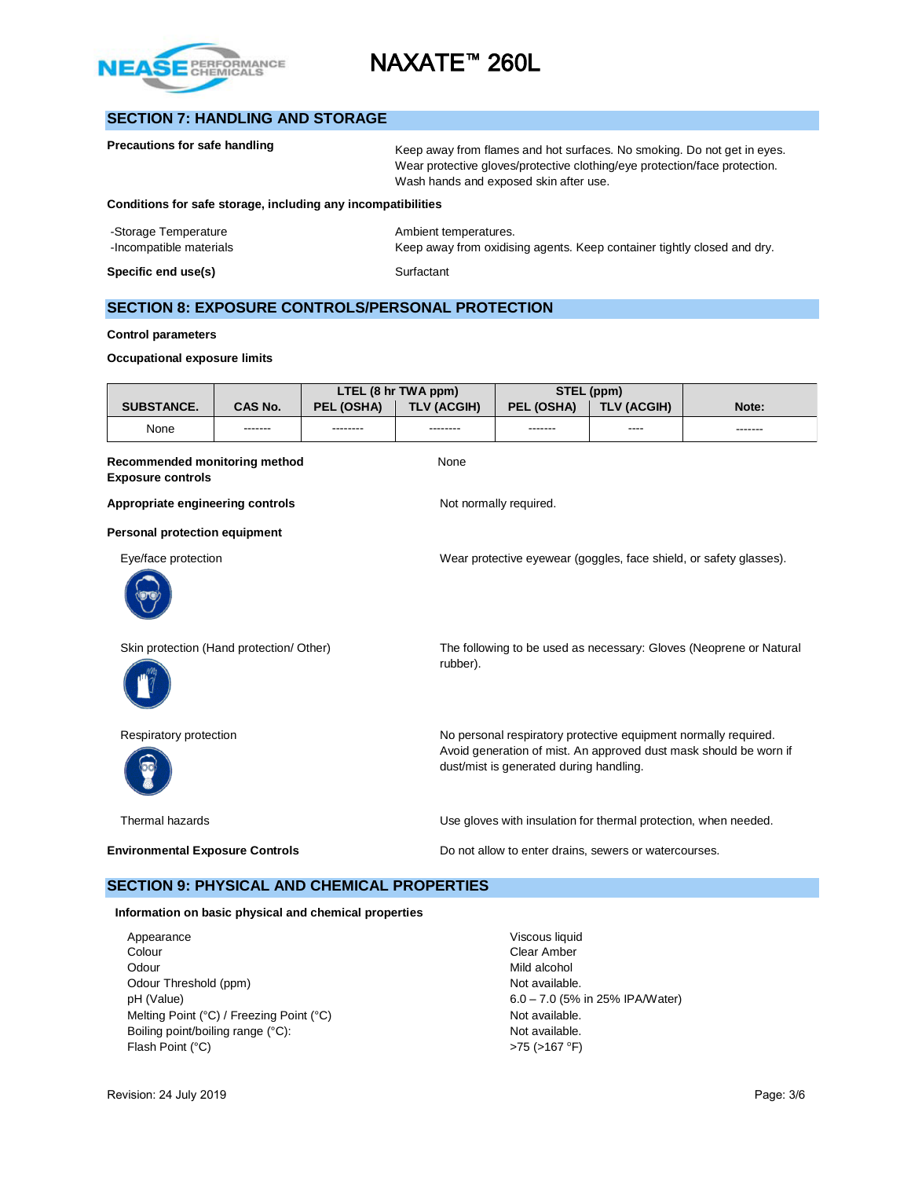

# **SECTION 7: HANDLING AND STORAGE**

|                                                              | Precautions for safe handling<br>Keep away from flames and hot surfaces. No smoking. Do not get in eyes.<br>Wear protective gloves/protective clothing/eye protection/face protection.<br>Wash hands and exposed skin after use. |                                                                                                                                                                                 |                     |                        |                    |                                                                    |
|--------------------------------------------------------------|----------------------------------------------------------------------------------------------------------------------------------------------------------------------------------------------------------------------------------|---------------------------------------------------------------------------------------------------------------------------------------------------------------------------------|---------------------|------------------------|--------------------|--------------------------------------------------------------------|
| Conditions for safe storage, including any incompatibilities |                                                                                                                                                                                                                                  |                                                                                                                                                                                 |                     |                        |                    |                                                                    |
| -Storage Temperature<br>-Incompatible materials              | Ambient temperatures.<br>Keep away from oxidising agents. Keep container tightly closed and dry.                                                                                                                                 |                                                                                                                                                                                 |                     |                        |                    |                                                                    |
| Specific end use(s)                                          |                                                                                                                                                                                                                                  |                                                                                                                                                                                 | Surfactant          |                        |                    |                                                                    |
| <b>SECTION 8: EXPOSURE CONTROLS/PERSONAL PROTECTION</b>      |                                                                                                                                                                                                                                  |                                                                                                                                                                                 |                     |                        |                    |                                                                    |
| <b>Control parameters</b>                                    |                                                                                                                                                                                                                                  |                                                                                                                                                                                 |                     |                        |                    |                                                                    |
| <b>Occupational exposure limits</b>                          |                                                                                                                                                                                                                                  |                                                                                                                                                                                 |                     |                        |                    |                                                                    |
|                                                              |                                                                                                                                                                                                                                  |                                                                                                                                                                                 | LTEL (8 hr TWA ppm) |                        | STEL (ppm)         |                                                                    |
| <b>SUBSTANCE.</b>                                            | <b>CAS No.</b>                                                                                                                                                                                                                   | PEL (OSHA)                                                                                                                                                                      | <b>TLV (ACGIH)</b>  | PEL (OSHA)             | <b>TLV (ACGIH)</b> | Note:                                                              |
| None                                                         |                                                                                                                                                                                                                                  | --------                                                                                                                                                                        | --------            | -------                | ----               |                                                                    |
| Recommended monitoring method<br><b>Exposure controls</b>    |                                                                                                                                                                                                                                  |                                                                                                                                                                                 | None                |                        |                    |                                                                    |
| Appropriate engineering controls                             |                                                                                                                                                                                                                                  |                                                                                                                                                                                 |                     | Not normally required. |                    |                                                                    |
| Personal protection equipment                                |                                                                                                                                                                                                                                  |                                                                                                                                                                                 |                     |                        |                    |                                                                    |
| Eye/face protection                                          |                                                                                                                                                                                                                                  |                                                                                                                                                                                 |                     |                        |                    | Wear protective eyewear (goggles, face shield, or safety glasses). |
| Skin protection (Hand protection/ Other)                     |                                                                                                                                                                                                                                  |                                                                                                                                                                                 | rubber).            |                        |                    | The following to be used as necessary: Gloves (Neoprene or Natural |
| Respiratory protection                                       |                                                                                                                                                                                                                                  | No personal respiratory protective equipment normally required.<br>Avoid generation of mist. An approved dust mask should be worn if<br>dust/mist is generated during handling. |                     |                        |                    |                                                                    |
| Thermal hazards                                              | Use gloves with insulation for thermal protection, when needed.                                                                                                                                                                  |                                                                                                                                                                                 |                     |                        |                    |                                                                    |

**Environmental Exposure Controls Exposure Controls Do not allow to enter drains, sewers or watercourses.** 

# **SECTION 9: PHYSICAL AND CHEMICAL PROPERTIES**

## **Information on basic physical and chemical properties**

Appearance Viscous liquid<br>
Colour Colour<br>
Clear Amber Colour Clear Amber<br>
Clear Amber<br>
Odour Mild alcohol Odour Threshold (ppm) Not available. pH (Value) 6.0 – 7.0 (5% in 25% IPA/Water) Melting Point (°C) / Freezing Point (°C) Not available. Boiling point/boiling range (°C): Not available. Flash Point (°C) >75 (>167 °F)

Mild alcohol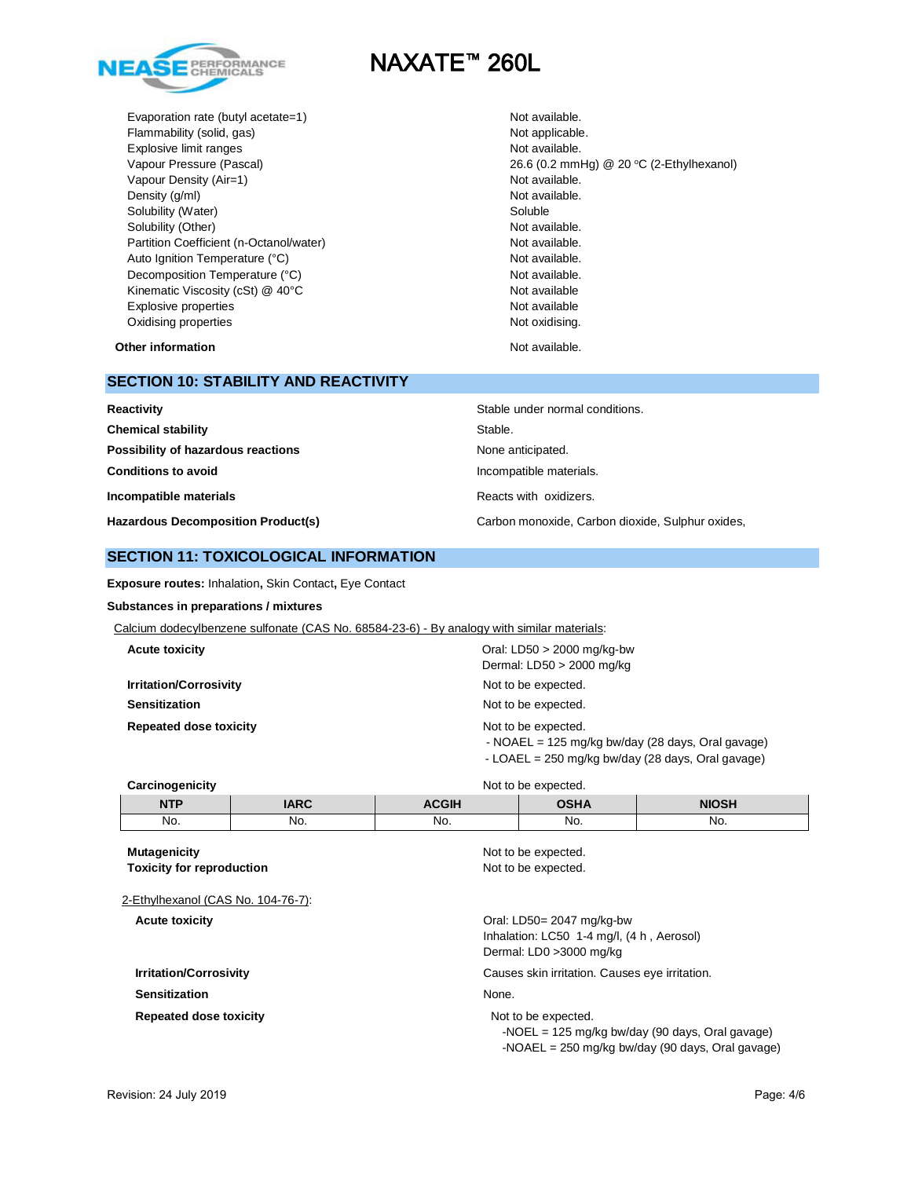

Evaporation rate (butyl acetate=1) Not available. Flammability (solid, gas) Not applicable. Explosive limit ranges Not available. Vapour Density (Air=1) Not available. Density (g/ml) Not available. Solubility (Water) Soluble Soluble Solubility (Other) Not available. Partition Coefficient (n-Octanol/water) Not available. Auto Ignition Temperature (°C) and the control of the Not available. Decomposition Temperature (°C) Not available. Kinematic Viscosity (cSt) @ 40°C Not available Not available Explosive properties **Not available** Not available Oxidising properties **Not oxidising** properties Not oxidising.

Vapour Pressure (Pascal) 26.6 (0.2 mmHg) @ 20 °C (2-Ethylhexanol)

**Other information Not available. Other information** 

## **SECTION 10: STABILITY AND REACTIVITY**

| Reactivity                                | Stable under normal conditions.                  |
|-------------------------------------------|--------------------------------------------------|
| <b>Chemical stability</b>                 | Stable.                                          |
| Possibility of hazardous reactions        | None anticipated.                                |
| <b>Conditions to avoid</b>                | Incompatible materials.                          |
| Incompatible materials                    | Reacts with oxidizers.                           |
| <b>Hazardous Decomposition Product(s)</b> | Carbon monoxide, Carbon dioxide, Sulphur oxides, |

## **SECTION 11: TOXICOLOGICAL INFORMATION**

**Exposure routes:** Inhalation**,** Skin Contact**,** Eye Contact

#### **Substances in preparations / mixtures**

| Calcium dodecylbenzene sulfonate (CAS No. 68584-23-6) - By analogy with similar materials: |                                                                                                                                                                                                                                                                                                                                                                                                                                                                                                                                              |
|--------------------------------------------------------------------------------------------|----------------------------------------------------------------------------------------------------------------------------------------------------------------------------------------------------------------------------------------------------------------------------------------------------------------------------------------------------------------------------------------------------------------------------------------------------------------------------------------------------------------------------------------------|
| <b>Acute toxicity</b>                                                                      | Oral: $LD50 > 2000$ mg/kg-bw<br>Dermal: LD50 > 2000 mg/kg                                                                                                                                                                                                                                                                                                                                                                                                                                                                                    |
| <b>Irritation/Corrosivity</b>                                                              | Not to be expected.                                                                                                                                                                                                                                                                                                                                                                                                                                                                                                                          |
| <b>Sensitization</b>                                                                       | Not to be expected.                                                                                                                                                                                                                                                                                                                                                                                                                                                                                                                          |
| <b>Repeated dose toxicity</b>                                                              | Not to be expected.<br>- NOAEL = $125 \text{ mg/kg}$ bw/day (28 days, Oral gavage)<br>$\mathsf{L}\cap\mathsf{L}\mathsf{F}$ $\mathsf{L}\cap\mathsf{C}\cap\mathsf{L}\cap\mathsf{L}\cap\mathsf{L}\cap\mathsf{L}\cap\mathsf{L}\cap\mathsf{L}\cap\mathsf{L}\cap\mathsf{L}\cap\mathsf{L}\cap\mathsf{L}\cap\mathsf{L}\cap\mathsf{L}\cap\mathsf{L}\cap\mathsf{L}\cap\mathsf{L}\cap\mathsf{L}\cap\mathsf{L}\cap\mathsf{L}\cap\mathsf{L}\cap\mathsf{L}\cap\mathsf{L}\cap\mathsf{L}\cap\mathsf{L}\cap\mathsf{L}\cap\mathsf{L}\cap\mathsf{L}\cap\mathsf$ |

- LOAEL = 250 mg/kg bw/day (28 days, Oral gavage)

| Carcinogenicity |             | Not to be expected. |             |       |  |
|-----------------|-------------|---------------------|-------------|-------|--|
| <b>NTP</b>      | <b>IARC</b> | <b>ACGIH</b>        | <b>OSHA</b> | NIOSH |  |
| No.             | No.         | No.                 | No.         | No.   |  |

**Mutagenicity** Not to be expected. **Toxicity for reproduction**  $\blacksquare$  Not to be expected. 2-Ethylhexanol (CAS No. 104-76-7): **Acute toxicity** Oral: LD50= 2047 mg/kg-bw Inhalation: LC50 1-4 mg/l, (4 h , Aerosol) Dermal: LD0 >3000 mg/kg **Irritation/Corrosivity Causes skin irritation.** Causes eye irritation. **Sensitization** None. **Repeated dose toxicity** Not to be expected. -NOEL = 125 mg/kg bw/day (90 days, Oral gavage) -NOAEL = 250 mg/kg bw/day (90 days, Oral gavage)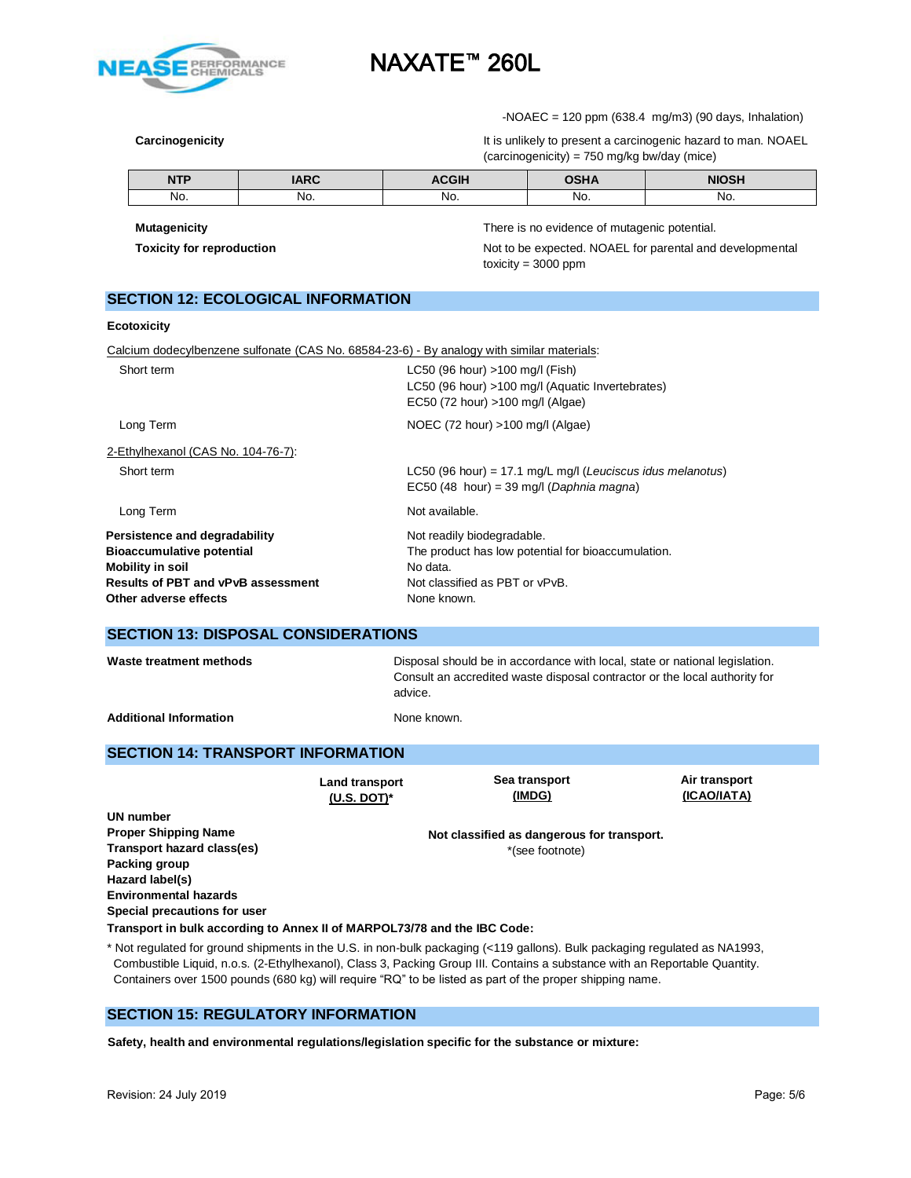

 $-NOAEC = 120$  ppm (638.4 mg/m3) (90 days, Inhalation)

**Carcinogenicity Carcinogenicity It is unlikely to present a carcinogenic hazard to man. NOAEL** (carcinogenicity) = 750 mg/kg bw/day (mice)

|            | IMDC | $- - - -$ | .    |     |
|------------|------|-----------|------|-----|
| <b>NTP</b> | INN  |           | '''' |     |
| No.        | No.  | No.       | No.  | NO. |

**Mutagenicity** There is no evidence of mutagenic potential.

**Toxicity for reproduction** Not to be expected. NOAEL for parental and developmental toxicity =  $3000$  ppm

|  |  | SECTION 12: ECOLOGICAL INFORMATION |
|--|--|------------------------------------|
|--|--|------------------------------------|

#### **Ecotoxicity**

Calcium dodecylbenzene sulfonate (CAS No. 68584-23-6) - By analogy with similar materials:

| Short term                                                                                                                         | LC50 (96 hour) >100 mg/l (Fish)<br>LC50 (96 hour) >100 mg/l (Aquatic Invertebrates)<br>EC50 (72 hour) >100 mg/l (Algae)        |
|------------------------------------------------------------------------------------------------------------------------------------|--------------------------------------------------------------------------------------------------------------------------------|
| Long Term                                                                                                                          | NOEC (72 hour) >100 mg/l (Algae)                                                                                               |
| 2-Ethylhexanol (CAS No. 104-76-7):                                                                                                 |                                                                                                                                |
| Short term                                                                                                                         | LC50 (96 hour) = 17.1 mg/L mg/l (Leuciscus idus melanotus)<br>$EC50$ (48 hour) = 39 mg/l (Daphnia magna)                       |
| Long Term                                                                                                                          | Not available.                                                                                                                 |
| Persistence and degradability<br><b>Bioaccumulative potential</b><br>Mobility in soil<br><b>Results of PBT and vPvB assessment</b> | Not readily biodegradable.<br>The product has low potential for bioaccumulation.<br>No data.<br>Not classified as PBT or vPvB. |
| Other adverse effects                                                                                                              | None known.                                                                                                                    |

## **SECTION 13: DISPOSAL CONSIDERATIONS**

| Waste treatment methods       | Disposal should be in accordance with local, state or national legislation.<br>Consult an accredited waste disposal contractor or the local authority for<br>advice. |
|-------------------------------|----------------------------------------------------------------------------------------------------------------------------------------------------------------------|
| <b>Additional Information</b> | None known.                                                                                                                                                          |

## **SECTION 14: TRANSPORT INFORMATION**

**Land transport (U.S. DOT)\* Sea transport (IMDG) Air transport (ICAO/IATA) UN number Not classified as dangerous for transport.** \*(see footnote) **Proper Shipping Name Transport hazard class(es) Packing group Hazard label(s) Environmental hazards Special precautions for user Transport in bulk according to Annex II of MARPOL73/78 and the IBC Code:** 

\* Not regulated for ground shipments in the U.S. in non-bulk packaging (<119 gallons). Bulk packaging regulated as NA1993, Combustible Liquid, n.o.s. (2-Ethylhexanol), Class 3, Packing Group III. Contains a substance with an Reportable Quantity. Containers over 1500 pounds (680 kg) will require "RQ" to be listed as part of the proper shipping name.

## **SECTION 15: REGULATORY INFORMATION**

**Safety, health and environmental regulations/legislation specific for the substance or mixture:**